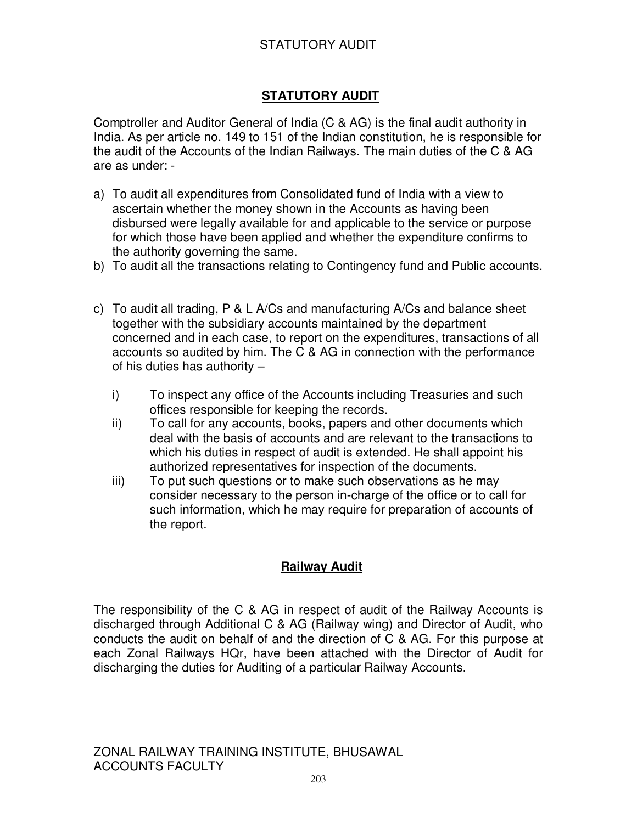## STATUTORY AUDIT

# **STATUTORY AUDIT**

Comptroller and Auditor General of India (C & AG) is the final audit authority in India. As per article no. 149 to 151 of the Indian constitution, he is responsible for the audit of the Accounts of the Indian Railways. The main duties of the C & AG are as under: -

- a) To audit all expenditures from Consolidated fund of India with a view to ascertain whether the money shown in the Accounts as having been disbursed were legally available for and applicable to the service or purpose for which those have been applied and whether the expenditure confirms to the authority governing the same.
- b) To audit all the transactions relating to Contingency fund and Public accounts.
- c) To audit all trading, P & L A/Cs and manufacturing A/Cs and balance sheet together with the subsidiary accounts maintained by the department concerned and in each case, to report on the expenditures, transactions of all accounts so audited by him. The C & AG in connection with the performance of his duties has authority –
	- i) To inspect any office of the Accounts including Treasuries and such offices responsible for keeping the records.
	- ii) To call for any accounts, books, papers and other documents which deal with the basis of accounts and are relevant to the transactions to which his duties in respect of audit is extended. He shall appoint his authorized representatives for inspection of the documents.
	- iii) To put such questions or to make such observations as he may consider necessary to the person in-charge of the office or to call for such information, which he may require for preparation of accounts of the report.

## **Railway Audit**

The responsibility of the C & AG in respect of audit of the Railway Accounts is discharged through Additional C & AG (Railway wing) and Director of Audit, who conducts the audit on behalf of and the direction of C & AG. For this purpose at each Zonal Railways HQr, have been attached with the Director of Audit for discharging the duties for Auditing of a particular Railway Accounts.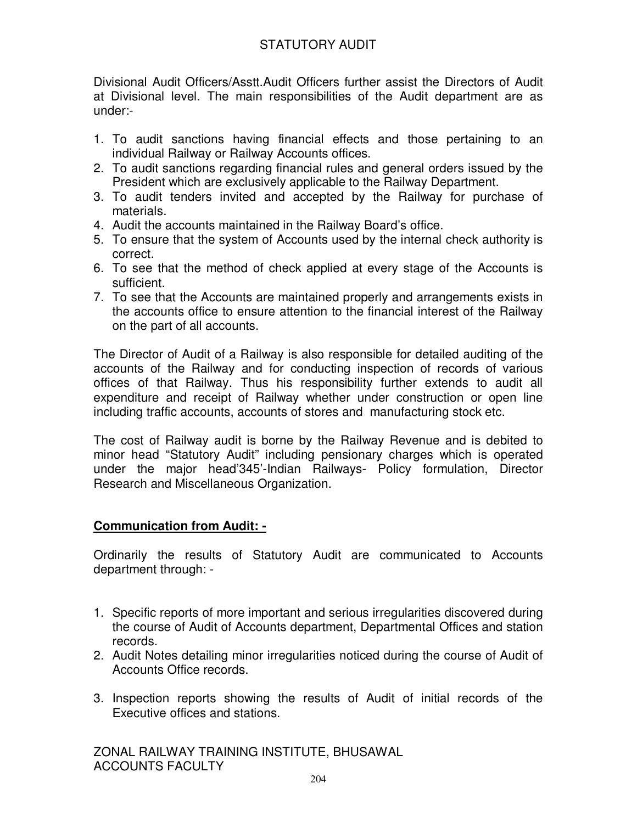## STATUTORY AUDIT

Divisional Audit Officers/Asstt.Audit Officers further assist the Directors of Audit at Divisional level. The main responsibilities of the Audit department are as under:-

- 1. To audit sanctions having financial effects and those pertaining to an individual Railway or Railway Accounts offices.
- 2. To audit sanctions regarding financial rules and general orders issued by the President which are exclusively applicable to the Railway Department.
- 3. To audit tenders invited and accepted by the Railway for purchase of materials.
- 4. Audit the accounts maintained in the Railway Board's office.
- 5. To ensure that the system of Accounts used by the internal check authority is correct.
- 6. To see that the method of check applied at every stage of the Accounts is sufficient.
- 7. To see that the Accounts are maintained properly and arrangements exists in the accounts office to ensure attention to the financial interest of the Railway on the part of all accounts.

The Director of Audit of a Railway is also responsible for detailed auditing of the accounts of the Railway and for conducting inspection of records of various offices of that Railway. Thus his responsibility further extends to audit all expenditure and receipt of Railway whether under construction or open line including traffic accounts, accounts of stores and manufacturing stock etc.

The cost of Railway audit is borne by the Railway Revenue and is debited to minor head "Statutory Audit" including pensionary charges which is operated under the major head'345'-Indian Railways- Policy formulation, Director Research and Miscellaneous Organization.

### **Communication from Audit: -**

Ordinarily the results of Statutory Audit are communicated to Accounts department through: -

- 1. Specific reports of more important and serious irregularities discovered during the course of Audit of Accounts department, Departmental Offices and station records.
- 2. Audit Notes detailing minor irregularities noticed during the course of Audit of Accounts Office records.
- 3. Inspection reports showing the results of Audit of initial records of the Executive offices and stations.

ZONAL RAILWAY TRAINING INSTITUTE, BHUSAWAL ACCOUNTS FACULTY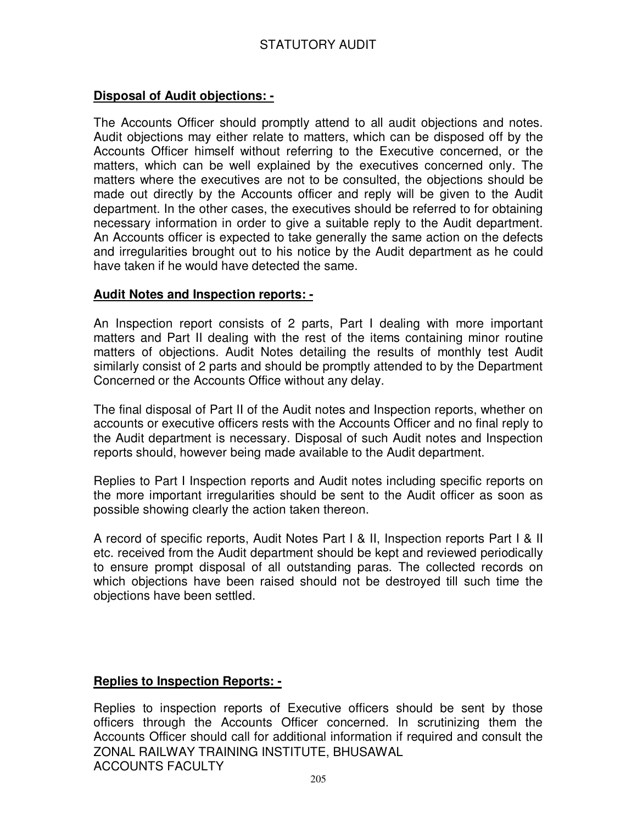## STATUTORY AUDIT

#### **Disposal of Audit objections: -**

The Accounts Officer should promptly attend to all audit objections and notes. Audit objections may either relate to matters, which can be disposed off by the Accounts Officer himself without referring to the Executive concerned, or the matters, which can be well explained by the executives concerned only. The matters where the executives are not to be consulted, the objections should be made out directly by the Accounts officer and reply will be given to the Audit department. In the other cases, the executives should be referred to for obtaining necessary information in order to give a suitable reply to the Audit department. An Accounts officer is expected to take generally the same action on the defects and irregularities brought out to his notice by the Audit department as he could have taken if he would have detected the same.

#### **Audit Notes and Inspection reports: -**

An Inspection report consists of 2 parts, Part I dealing with more important matters and Part II dealing with the rest of the items containing minor routine matters of objections. Audit Notes detailing the results of monthly test Audit similarly consist of 2 parts and should be promptly attended to by the Department Concerned or the Accounts Office without any delay.

The final disposal of Part II of the Audit notes and Inspection reports, whether on accounts or executive officers rests with the Accounts Officer and no final reply to the Audit department is necessary. Disposal of such Audit notes and Inspection reports should, however being made available to the Audit department.

Replies to Part I Inspection reports and Audit notes including specific reports on the more important irregularities should be sent to the Audit officer as soon as possible showing clearly the action taken thereon.

A record of specific reports, Audit Notes Part I & II, Inspection reports Part I & II etc. received from the Audit department should be kept and reviewed periodically to ensure prompt disposal of all outstanding paras. The collected records on which objections have been raised should not be destroyed till such time the objections have been settled.

### **Replies to Inspection Reports: -**

ZONAL RAILWAY TRAINING INSTITUTE, BHUSAWAL ACCOUNTS FACULTY Replies to inspection reports of Executive officers should be sent by those officers through the Accounts Officer concerned. In scrutinizing them the Accounts Officer should call for additional information if required and consult the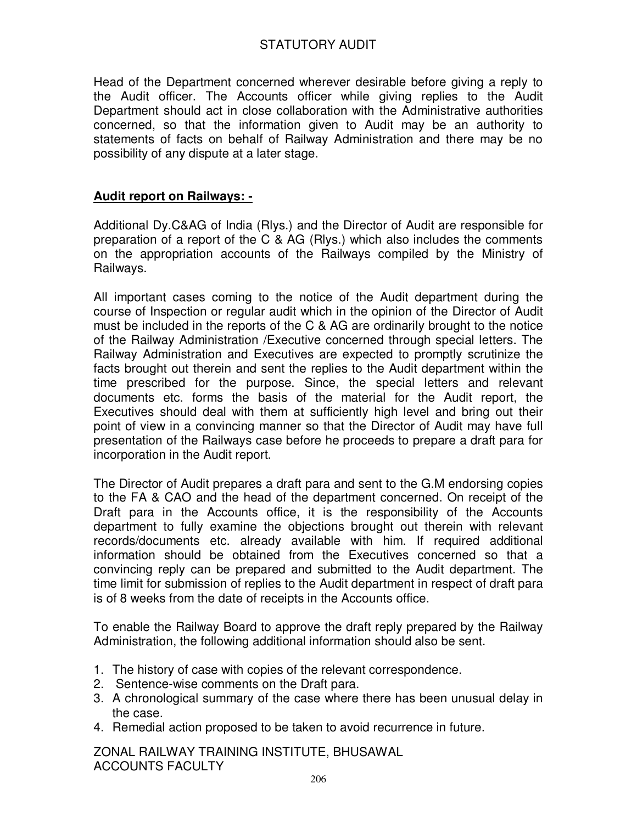Head of the Department concerned wherever desirable before giving a reply to the Audit officer. The Accounts officer while giving replies to the Audit Department should act in close collaboration with the Administrative authorities concerned, so that the information given to Audit may be an authority to statements of facts on behalf of Railway Administration and there may be no possibility of any dispute at a later stage.

### **Audit report on Railways: -**

Additional Dy.C&AG of India (Rlys.) and the Director of Audit are responsible for preparation of a report of the C & AG (Rlys.) which also includes the comments on the appropriation accounts of the Railways compiled by the Ministry of Railways.

All important cases coming to the notice of the Audit department during the course of Inspection or regular audit which in the opinion of the Director of Audit must be included in the reports of the C & AG are ordinarily brought to the notice of the Railway Administration /Executive concerned through special letters. The Railway Administration and Executives are expected to promptly scrutinize the facts brought out therein and sent the replies to the Audit department within the time prescribed for the purpose. Since, the special letters and relevant documents etc. forms the basis of the material for the Audit report, the Executives should deal with them at sufficiently high level and bring out their point of view in a convincing manner so that the Director of Audit may have full presentation of the Railways case before he proceeds to prepare a draft para for incorporation in the Audit report.

The Director of Audit prepares a draft para and sent to the G.M endorsing copies to the FA & CAO and the head of the department concerned. On receipt of the Draft para in the Accounts office, it is the responsibility of the Accounts department to fully examine the objections brought out therein with relevant records/documents etc. already available with him. If required additional information should be obtained from the Executives concerned so that a convincing reply can be prepared and submitted to the Audit department. The time limit for submission of replies to the Audit department in respect of draft para is of 8 weeks from the date of receipts in the Accounts office.

To enable the Railway Board to approve the draft reply prepared by the Railway Administration, the following additional information should also be sent.

- 1. The history of case with copies of the relevant correspondence.
- 2. Sentence-wise comments on the Draft para.
- 3. A chronological summary of the case where there has been unusual delay in the case.
- 4. Remedial action proposed to be taken to avoid recurrence in future.

ZONAL RAILWAY TRAINING INSTITUTE, BHUSAWAL ACCOUNTS FACULTY